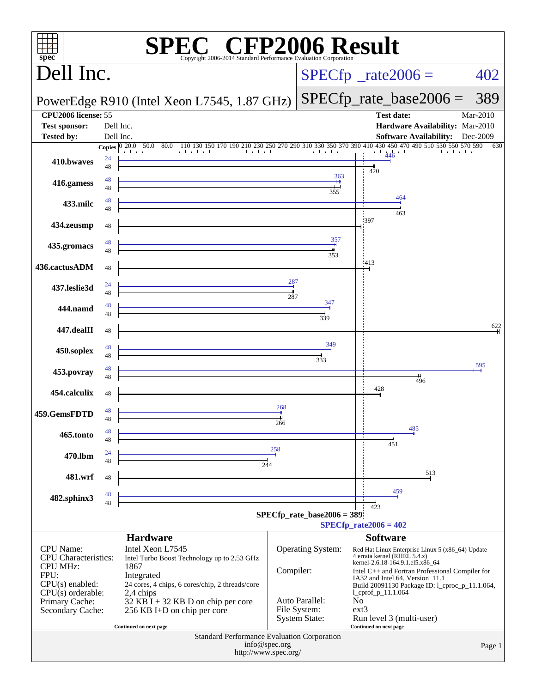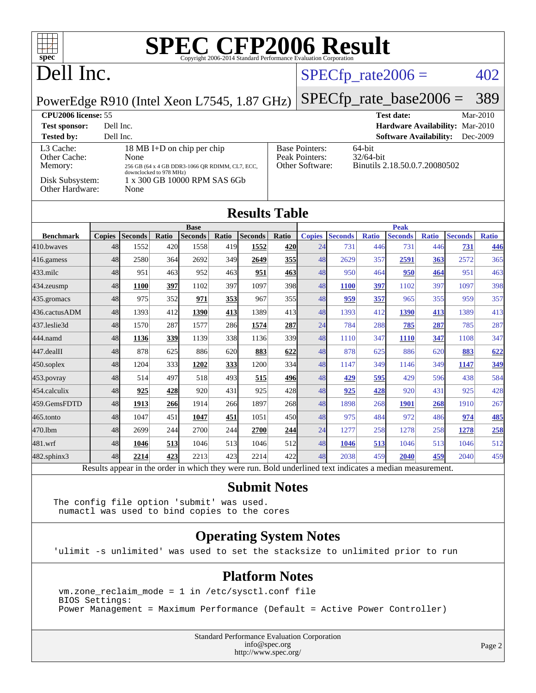| spec <sup>®</sup>                                                                                     |                                                 |                        |              | <b>SPEC CFP2006 Result</b> |              | Copyright 2006-2014 Standard Performance Evaluation Corporation |                     |                                                  |                            |                     |                       |                     |                       |                     |
|-------------------------------------------------------------------------------------------------------|-------------------------------------------------|------------------------|--------------|----------------------------|--------------|-----------------------------------------------------------------|---------------------|--------------------------------------------------|----------------------------|---------------------|-----------------------|---------------------|-----------------------|---------------------|
| Dell Inc.                                                                                             |                                                 |                        |              |                            |              |                                                                 |                     |                                                  | $SPECfp\_rate2006 =$       |                     |                       |                     |                       | 402                 |
| PowerEdge R910 (Intel Xeon L7545, 1.87 GHz)                                                           |                                                 |                        |              |                            |              |                                                                 |                     |                                                  | $SPECfp\_rate\_base2006 =$ |                     |                       |                     |                       | 389                 |
| <b>CPU2006</b> license: 55<br><b>Test date:</b><br>Mar-2010                                           |                                                 |                        |              |                            |              |                                                                 |                     |                                                  |                            |                     |                       |                     |                       |                     |
| Hardware Availability: Mar-2010<br>Dell Inc.<br><b>Test sponsor:</b>                                  |                                                 |                        |              |                            |              |                                                                 |                     |                                                  |                            |                     |                       |                     |                       |                     |
| <b>Tested by:</b><br>Dell Inc.<br><b>Software Availability:</b><br>Dec-2009                           |                                                 |                        |              |                            |              |                                                                 |                     |                                                  |                            |                     |                       |                     |                       |                     |
| L3 Cache:<br>18 MB I+D on chip per chip<br>Other Cache:<br>None                                       |                                                 |                        |              |                            |              | <b>Base Pointers:</b><br>64-bit<br>Peak Pointers:<br>32/64-bit  |                     |                                                  |                            |                     |                       |                     |                       |                     |
| Memory:                                                                                               | 256 GB (64 x 4 GB DDR3-1066 OR RDIMM, CL7, ECC, |                        |              |                            |              |                                                                 |                     | Other Software:<br>Binutils 2.18.50.0.7.20080502 |                            |                     |                       |                     |                       |                     |
| downclocked to 978 MHz)<br>1 x 300 GB 10000 RPM SAS 6Gb<br>Disk Subsystem:<br>Other Hardware:<br>None |                                                 |                        |              |                            |              |                                                                 |                     |                                                  |                            |                     |                       |                     |                       |                     |
| <b>Results Table</b>                                                                                  |                                                 |                        |              |                            |              |                                                                 |                     |                                                  |                            |                     |                       |                     |                       |                     |
|                                                                                                       |                                                 |                        |              | <b>Base</b>                |              |                                                                 |                     |                                                  |                            |                     | <b>Peak</b>           |                     |                       |                     |
| <b>Benchmark</b><br>410.bwaves                                                                        | 48                                              | Copies Seconds<br>1552 | Ratio<br>420 | <b>Seconds</b><br>1558     | Ratio<br>419 | Seconds<br>1552                                                 | <b>Ratio</b><br>420 | <b>Copies</b><br>24                              | <b>Seconds</b><br>731      | <b>Ratio</b><br>446 | <b>Seconds</b><br>731 | <b>Ratio</b><br>446 | <b>Seconds</b><br>731 | <b>Ratio</b><br>446 |
|                                                                                                       | 48                                              | 2580                   |              | 2692                       | 349          |                                                                 |                     | 48                                               | 2629                       | 357                 |                       |                     | 2572                  |                     |
| $416$ .gamess                                                                                         | 48                                              | 951                    | 364          | 952                        | 463          | 2649                                                            | 355                 | 48                                               | 950                        |                     | 2591                  | 363                 | 951                   | 365<br>463          |
| 433.milc                                                                                              |                                                 |                        | 463          |                            | 397          | 951<br>1097                                                     | 463<br>398          | 48                                               |                            | 464                 | 950                   | 464                 | 1097                  |                     |
| 434.zeusmp                                                                                            | 48<br>48                                        | <b>1100</b><br>975     | 397          | 1102                       |              |                                                                 |                     | 48                                               | <b>1100</b>                | 397                 | 1102<br>965           | 397                 | 959                   | 398                 |
| 435.gromacs<br>436.cactusADM                                                                          | 48                                              | 1393                   | 352<br>412   | 971<br>1390                | 353<br>413   | 967<br>1389                                                     | 355<br>413          | 48                                               | 959<br>1393                | 357<br>412          | 1390                  | 355                 | 1389                  | 357<br>413          |
| 437.leslie3d                                                                                          | 48                                              | 1570                   | 287          | 1577                       | 286          | 1574                                                            | 287                 | 24                                               | 784                        | 288                 | 785                   | 413<br>287          | 785                   | 287                 |
| 444.namd                                                                                              | 48                                              | 1136                   | 339          | 1139                       | 338          | 1136                                                            | 339                 | 48                                               | 1110                       | 347                 | <b>1110</b>           | 347                 | 1108                  | 347                 |
| $ 447.\text{dealII}$                                                                                  | 48                                              | 878                    | 625          | 886                        | 620          | 883                                                             | 622                 | 48                                               | 878                        | 625                 | 886                   | 620                 | 883                   | 622                 |
| $ 450$ .soplex                                                                                        | 48                                              | 1204                   | 333          | 1202                       | 333          | 1200                                                            | 334                 | 48                                               | 1147                       | 349                 | 1146                  | 349                 | 1147                  | 349                 |
| $453$ .povray                                                                                         | 48                                              | 514                    | 497          | 518                        | 493          | 515                                                             | 496                 | 48                                               | 429                        | 595                 | 429                   | 596                 | 438                   | 584                 |
| 454.calculix                                                                                          | 48                                              | 925                    | 428          | 920                        | 431          | 925                                                             | 428                 | 48                                               | 925                        | 428                 | 920                   | 431                 | 925                   | 428                 |
| 459.GemsFDTD                                                                                          | 48                                              | 1913                   | 266          | 1914                       | 266          | 1897                                                            | 268                 | 48                                               | 1898                       | 268                 | <b>1901</b>           | 268                 | 1910                  | 267                 |
| $465$ .tonto                                                                                          | 48                                              | 1047                   | 451          | 1047                       | 451          | 1051                                                            | 450                 | 48                                               | 975                        | 484                 | 972                   | 486                 | 974                   | 485                 |
| 470.1bm                                                                                               | 48                                              | 2699                   | 244          | 2700                       | 244          | 2700                                                            | 244                 | 24                                               | 1277                       | 258                 | 1278                  | 258                 | 1278                  | 258                 |
| 481.wrf                                                                                               | 48                                              | 1046                   | 513          | 1046                       | 513          | 1046                                                            | 512                 | 48                                               | 1046                       | 513                 | 1046                  | 513                 | 1046                  | 512                 |

[482.sphinx3](http://www.spec.org/auto/cpu2006/Docs/482.sphinx3.html) 48 **[2214](http://www.spec.org/auto/cpu2006/Docs/result-fields.html#Median) [423](http://www.spec.org/auto/cpu2006/Docs/result-fields.html#Median)** 2213 423 2214 422 48 2038 459 **[2040](http://www.spec.org/auto/cpu2006/Docs/result-fields.html#Median) [459](http://www.spec.org/auto/cpu2006/Docs/result-fields.html#Median)** 2040 459 Results appear in the [order in which they were run.](http://www.spec.org/auto/cpu2006/Docs/result-fields.html#RunOrder) Bold underlined text [indicates a median measurement.](http://www.spec.org/auto/cpu2006/Docs/result-fields.html#Median)

#### **[Submit Notes](http://www.spec.org/auto/cpu2006/Docs/result-fields.html#SubmitNotes)**

The config file option 'submit' was used. numactl was used to bind copies to the cores

#### **[Operating System Notes](http://www.spec.org/auto/cpu2006/Docs/result-fields.html#OperatingSystemNotes)**

'ulimit -s unlimited' was used to set the stacksize to unlimited prior to run

#### **[Platform Notes](http://www.spec.org/auto/cpu2006/Docs/result-fields.html#PlatformNotes)**

 vm.zone\_reclaim\_mode = 1 in /etc/sysctl.conf file BIOS Settings: Power Management = Maximum Performance (Default = Active Power Controller)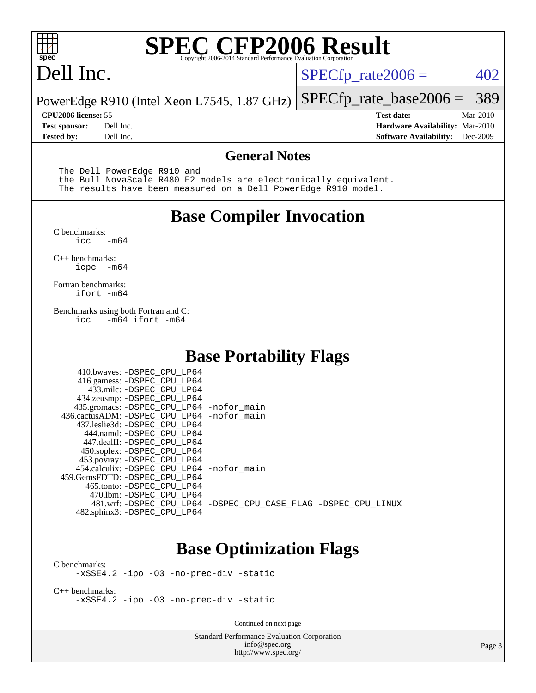

## Dell Inc.

 $SPECTp_rate2006 = 402$ 

PowerEdge R910 (Intel Xeon L7545, 1.87 GHz) [SPECfp\\_rate\\_base2006 =](http://www.spec.org/auto/cpu2006/Docs/result-fields.html#SPECfpratebase2006) 389

**[CPU2006 license:](http://www.spec.org/auto/cpu2006/Docs/result-fields.html#CPU2006license)** 55 **[Test date:](http://www.spec.org/auto/cpu2006/Docs/result-fields.html#Testdate)** Mar-2010 **[Test sponsor:](http://www.spec.org/auto/cpu2006/Docs/result-fields.html#Testsponsor)** Dell Inc. **[Hardware Availability:](http://www.spec.org/auto/cpu2006/Docs/result-fields.html#HardwareAvailability)** Mar-2010 **[Tested by:](http://www.spec.org/auto/cpu2006/Docs/result-fields.html#Testedby)** Dell Inc. **[Software Availability:](http://www.spec.org/auto/cpu2006/Docs/result-fields.html#SoftwareAvailability)** Dec-2009

#### **[General Notes](http://www.spec.org/auto/cpu2006/Docs/result-fields.html#GeneralNotes)**

The Dell PowerEdge R910 and

 the Bull NovaScale R480 F2 models are electronically equivalent. The results have been measured on a Dell PowerEdge R910 model.

#### **[Base Compiler Invocation](http://www.spec.org/auto/cpu2006/Docs/result-fields.html#BaseCompilerInvocation)**

[C benchmarks](http://www.spec.org/auto/cpu2006/Docs/result-fields.html#Cbenchmarks):  $-m64$ 

[C++ benchmarks:](http://www.spec.org/auto/cpu2006/Docs/result-fields.html#CXXbenchmarks) [icpc -m64](http://www.spec.org/cpu2006/results/res2010q3/cpu2006-20100621-11937.flags.html#user_CXXbase_intel_icpc_64bit_bedb90c1146cab66620883ef4f41a67e)

[Fortran benchmarks](http://www.spec.org/auto/cpu2006/Docs/result-fields.html#Fortranbenchmarks): [ifort -m64](http://www.spec.org/cpu2006/results/res2010q3/cpu2006-20100621-11937.flags.html#user_FCbase_intel_ifort_64bit_ee9d0fb25645d0210d97eb0527dcc06e)

[Benchmarks using both Fortran and C](http://www.spec.org/auto/cpu2006/Docs/result-fields.html#BenchmarksusingbothFortranandC): [icc -m64](http://www.spec.org/cpu2006/results/res2010q3/cpu2006-20100621-11937.flags.html#user_CC_FCbase_intel_icc_64bit_0b7121f5ab7cfabee23d88897260401c) [ifort -m64](http://www.spec.org/cpu2006/results/res2010q3/cpu2006-20100621-11937.flags.html#user_CC_FCbase_intel_ifort_64bit_ee9d0fb25645d0210d97eb0527dcc06e)

#### **[Base Portability Flags](http://www.spec.org/auto/cpu2006/Docs/result-fields.html#BasePortabilityFlags)**

| 410.bwaves: -DSPEC CPU LP64<br>416.gamess: -DSPEC_CPU_LP64<br>433.milc: -DSPEC CPU LP64<br>434.zeusmp: -DSPEC_CPU_LP64<br>435.gromacs: -DSPEC_CPU_LP64 -nofor_main<br>436.cactusADM: -DSPEC CPU LP64 -nofor main<br>437.leslie3d: -DSPEC_CPU LP64<br>444.namd: -DSPEC CPU LP64<br>447.dealII: -DSPEC CPU LP64 |                                                                |
|---------------------------------------------------------------------------------------------------------------------------------------------------------------------------------------------------------------------------------------------------------------------------------------------------------------|----------------------------------------------------------------|
| 450.soplex: -DSPEC_CPU_LP64<br>453.povray: -DSPEC_CPU_LP64<br>454.calculix: - DSPEC CPU LP64 - nofor main<br>459.GemsFDTD: -DSPEC_CPU LP64<br>465.tonto: - DSPEC_CPU LP64                                                                                                                                     |                                                                |
| 470.1bm: - DSPEC CPU LP64<br>482.sphinx3: -DSPEC_CPU_LP64                                                                                                                                                                                                                                                     | 481.wrf: -DSPEC CPU_LP64 -DSPEC_CPU_CASE_FLAG -DSPEC_CPU_LINUX |

#### **[Base Optimization Flags](http://www.spec.org/auto/cpu2006/Docs/result-fields.html#BaseOptimizationFlags)**

[C benchmarks](http://www.spec.org/auto/cpu2006/Docs/result-fields.html#Cbenchmarks): [-xSSE4.2](http://www.spec.org/cpu2006/results/res2010q3/cpu2006-20100621-11937.flags.html#user_CCbase_f-xSSE42_f91528193cf0b216347adb8b939d4107) [-ipo](http://www.spec.org/cpu2006/results/res2010q3/cpu2006-20100621-11937.flags.html#user_CCbase_f-ipo) [-O3](http://www.spec.org/cpu2006/results/res2010q3/cpu2006-20100621-11937.flags.html#user_CCbase_f-O3) [-no-prec-div](http://www.spec.org/cpu2006/results/res2010q3/cpu2006-20100621-11937.flags.html#user_CCbase_f-no-prec-div) [-static](http://www.spec.org/cpu2006/results/res2010q3/cpu2006-20100621-11937.flags.html#user_CCbase_f-static)

[C++ benchmarks:](http://www.spec.org/auto/cpu2006/Docs/result-fields.html#CXXbenchmarks) [-xSSE4.2](http://www.spec.org/cpu2006/results/res2010q3/cpu2006-20100621-11937.flags.html#user_CXXbase_f-xSSE42_f91528193cf0b216347adb8b939d4107) [-ipo](http://www.spec.org/cpu2006/results/res2010q3/cpu2006-20100621-11937.flags.html#user_CXXbase_f-ipo) [-O3](http://www.spec.org/cpu2006/results/res2010q3/cpu2006-20100621-11937.flags.html#user_CXXbase_f-O3) [-no-prec-div](http://www.spec.org/cpu2006/results/res2010q3/cpu2006-20100621-11937.flags.html#user_CXXbase_f-no-prec-div) [-static](http://www.spec.org/cpu2006/results/res2010q3/cpu2006-20100621-11937.flags.html#user_CXXbase_f-static)

Continued on next page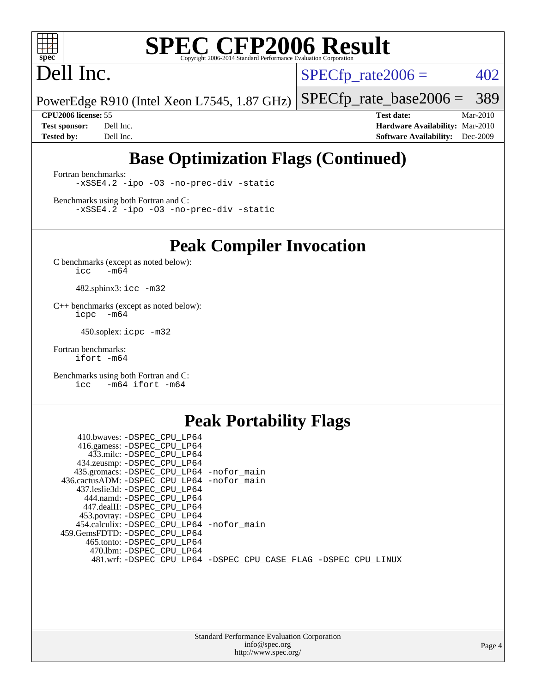

# Dell Inc.

 $SPECTp_rate2006 = 402$ 

PowerEdge R910 (Intel Xeon L7545, 1.87 GHz) [SPECfp\\_rate\\_base2006 =](http://www.spec.org/auto/cpu2006/Docs/result-fields.html#SPECfpratebase2006) 389

**[CPU2006 license:](http://www.spec.org/auto/cpu2006/Docs/result-fields.html#CPU2006license)** 55 **[Test date:](http://www.spec.org/auto/cpu2006/Docs/result-fields.html#Testdate)** Mar-2010 **[Test sponsor:](http://www.spec.org/auto/cpu2006/Docs/result-fields.html#Testsponsor)** Dell Inc. **[Hardware Availability:](http://www.spec.org/auto/cpu2006/Docs/result-fields.html#HardwareAvailability)** Mar-2010 **[Tested by:](http://www.spec.org/auto/cpu2006/Docs/result-fields.html#Testedby)** Dell Inc. **[Software Availability:](http://www.spec.org/auto/cpu2006/Docs/result-fields.html#SoftwareAvailability)** Dec-2009

### **[Base Optimization Flags \(Continued\)](http://www.spec.org/auto/cpu2006/Docs/result-fields.html#BaseOptimizationFlags)**

[Fortran benchmarks](http://www.spec.org/auto/cpu2006/Docs/result-fields.html#Fortranbenchmarks): [-xSSE4.2](http://www.spec.org/cpu2006/results/res2010q3/cpu2006-20100621-11937.flags.html#user_FCbase_f-xSSE42_f91528193cf0b216347adb8b939d4107) [-ipo](http://www.spec.org/cpu2006/results/res2010q3/cpu2006-20100621-11937.flags.html#user_FCbase_f-ipo) [-O3](http://www.spec.org/cpu2006/results/res2010q3/cpu2006-20100621-11937.flags.html#user_FCbase_f-O3) [-no-prec-div](http://www.spec.org/cpu2006/results/res2010q3/cpu2006-20100621-11937.flags.html#user_FCbase_f-no-prec-div) [-static](http://www.spec.org/cpu2006/results/res2010q3/cpu2006-20100621-11937.flags.html#user_FCbase_f-static)

[Benchmarks using both Fortran and C](http://www.spec.org/auto/cpu2006/Docs/result-fields.html#BenchmarksusingbothFortranandC): [-xSSE4.2](http://www.spec.org/cpu2006/results/res2010q3/cpu2006-20100621-11937.flags.html#user_CC_FCbase_f-xSSE42_f91528193cf0b216347adb8b939d4107) [-ipo](http://www.spec.org/cpu2006/results/res2010q3/cpu2006-20100621-11937.flags.html#user_CC_FCbase_f-ipo) [-O3](http://www.spec.org/cpu2006/results/res2010q3/cpu2006-20100621-11937.flags.html#user_CC_FCbase_f-O3) [-no-prec-div](http://www.spec.org/cpu2006/results/res2010q3/cpu2006-20100621-11937.flags.html#user_CC_FCbase_f-no-prec-div) [-static](http://www.spec.org/cpu2006/results/res2010q3/cpu2006-20100621-11937.flags.html#user_CC_FCbase_f-static)

**[Peak Compiler Invocation](http://www.spec.org/auto/cpu2006/Docs/result-fields.html#PeakCompilerInvocation)**

[C benchmarks \(except as noted below\)](http://www.spec.org/auto/cpu2006/Docs/result-fields.html#Cbenchmarksexceptasnotedbelow):  $\text{icc}$  -m64

482.sphinx3: [icc -m32](http://www.spec.org/cpu2006/results/res2010q3/cpu2006-20100621-11937.flags.html#user_peakCCLD482_sphinx3_intel_icc_32bit_a6a621f8d50482236b970c6ac5f55f93)

[C++ benchmarks \(except as noted below\):](http://www.spec.org/auto/cpu2006/Docs/result-fields.html#CXXbenchmarksexceptasnotedbelow) [icpc -m64](http://www.spec.org/cpu2006/results/res2010q3/cpu2006-20100621-11937.flags.html#user_CXXpeak_intel_icpc_64bit_bedb90c1146cab66620883ef4f41a67e)

450.soplex: [icpc -m32](http://www.spec.org/cpu2006/results/res2010q3/cpu2006-20100621-11937.flags.html#user_peakCXXLD450_soplex_intel_icpc_32bit_4e5a5ef1a53fd332b3c49e69c3330699)

[Fortran benchmarks](http://www.spec.org/auto/cpu2006/Docs/result-fields.html#Fortranbenchmarks): [ifort -m64](http://www.spec.org/cpu2006/results/res2010q3/cpu2006-20100621-11937.flags.html#user_FCpeak_intel_ifort_64bit_ee9d0fb25645d0210d97eb0527dcc06e)

[Benchmarks using both Fortran and C](http://www.spec.org/auto/cpu2006/Docs/result-fields.html#BenchmarksusingbothFortranandC): [icc -m64](http://www.spec.org/cpu2006/results/res2010q3/cpu2006-20100621-11937.flags.html#user_CC_FCpeak_intel_icc_64bit_0b7121f5ab7cfabee23d88897260401c) [ifort -m64](http://www.spec.org/cpu2006/results/res2010q3/cpu2006-20100621-11937.flags.html#user_CC_FCpeak_intel_ifort_64bit_ee9d0fb25645d0210d97eb0527dcc06e)

#### **[Peak Portability Flags](http://www.spec.org/auto/cpu2006/Docs/result-fields.html#PeakPortabilityFlags)**

| 410.bwaves: -DSPEC CPU LP64                |                                                                |
|--------------------------------------------|----------------------------------------------------------------|
| 416.gamess: -DSPEC_CPU_LP64                |                                                                |
| 433.milc: -DSPEC CPU LP64                  |                                                                |
| 434.zeusmp: -DSPEC_CPU_LP64                |                                                                |
| 435.gromacs: -DSPEC_CPU_LP64 -nofor_main   |                                                                |
| 436.cactusADM: -DSPEC CPU LP64 -nofor main |                                                                |
| 437.leslie3d: -DSPEC CPU LP64              |                                                                |
| 444.namd: -DSPEC CPU LP64                  |                                                                |
| 447.dealII: -DSPEC CPU LP64                |                                                                |
| 453.povray: -DSPEC_CPU_LP64                |                                                                |
| 454.calculix: -DSPEC CPU LP64 -nofor main  |                                                                |
| 459.GemsFDTD: -DSPEC CPU LP64              |                                                                |
| 465.tonto: -DSPEC CPU LP64                 |                                                                |
| 470.1bm: - DSPEC CPU LP64                  |                                                                |
|                                            | 481.wrf: -DSPEC_CPU_LP64 -DSPEC_CPU_CASE_FLAG -DSPEC_CPU_LINUX |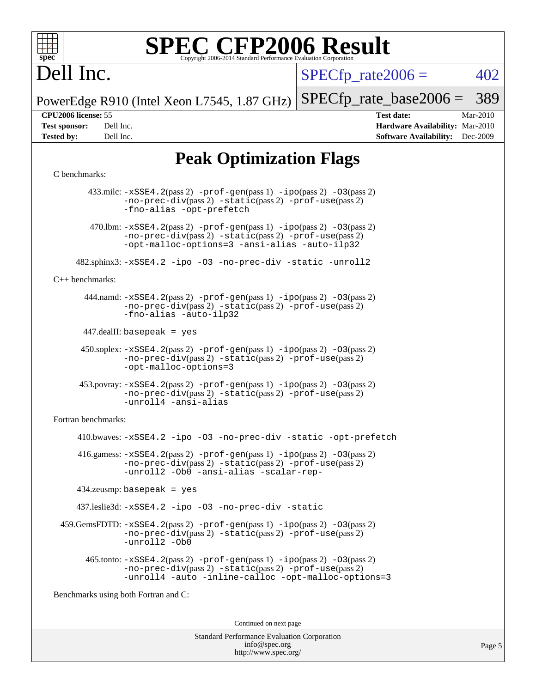

# Dell Inc.

 $SPECTp\_rate2006 = 402$ 

PowerEdge R910 (Intel Xeon L7545, 1.87 GHz) [SPECfp\\_rate\\_base2006 =](http://www.spec.org/auto/cpu2006/Docs/result-fields.html#SPECfpratebase2006) 389

**[CPU2006 license:](http://www.spec.org/auto/cpu2006/Docs/result-fields.html#CPU2006license)** 55 **[Test date:](http://www.spec.org/auto/cpu2006/Docs/result-fields.html#Testdate)** Mar-2010 **[Test sponsor:](http://www.spec.org/auto/cpu2006/Docs/result-fields.html#Testsponsor)** Dell Inc. **[Hardware Availability:](http://www.spec.org/auto/cpu2006/Docs/result-fields.html#HardwareAvailability)** Mar-2010 **[Tested by:](http://www.spec.org/auto/cpu2006/Docs/result-fields.html#Testedby)** Dell Inc. **[Software Availability:](http://www.spec.org/auto/cpu2006/Docs/result-fields.html#SoftwareAvailability)** Dec-2009

### **[Peak Optimization Flags](http://www.spec.org/auto/cpu2006/Docs/result-fields.html#PeakOptimizationFlags)**

#### [C benchmarks](http://www.spec.org/auto/cpu2006/Docs/result-fields.html#Cbenchmarks):

 433.milc: [-xSSE4.2](http://www.spec.org/cpu2006/results/res2010q3/cpu2006-20100621-11937.flags.html#user_peakPASS2_CFLAGSPASS2_LDFLAGS433_milc_f-xSSE42_f91528193cf0b216347adb8b939d4107)(pass 2) [-prof-gen](http://www.spec.org/cpu2006/results/res2010q3/cpu2006-20100621-11937.flags.html#user_peakPASS1_CFLAGSPASS1_LDFLAGS433_milc_prof_gen_e43856698f6ca7b7e442dfd80e94a8fc)(pass 1) [-ipo](http://www.spec.org/cpu2006/results/res2010q3/cpu2006-20100621-11937.flags.html#user_peakPASS2_CFLAGSPASS2_LDFLAGS433_milc_f-ipo)(pass 2) [-O3](http://www.spec.org/cpu2006/results/res2010q3/cpu2006-20100621-11937.flags.html#user_peakPASS2_CFLAGSPASS2_LDFLAGS433_milc_f-O3)(pass 2) [-no-prec-div](http://www.spec.org/cpu2006/results/res2010q3/cpu2006-20100621-11937.flags.html#user_peakPASS2_CFLAGSPASS2_LDFLAGS433_milc_f-no-prec-div)(pass 2) [-static](http://www.spec.org/cpu2006/results/res2010q3/cpu2006-20100621-11937.flags.html#user_peakPASS2_CFLAGSPASS2_LDFLAGS433_milc_f-static)(pass 2) [-prof-use](http://www.spec.org/cpu2006/results/res2010q3/cpu2006-20100621-11937.flags.html#user_peakPASS2_CFLAGSPASS2_LDFLAGS433_milc_prof_use_bccf7792157ff70d64e32fe3e1250b55)(pass 2) [-fno-alias](http://www.spec.org/cpu2006/results/res2010q3/cpu2006-20100621-11937.flags.html#user_peakOPTIMIZE433_milc_f-no-alias_694e77f6c5a51e658e82ccff53a9e63a) [-opt-prefetch](http://www.spec.org/cpu2006/results/res2010q3/cpu2006-20100621-11937.flags.html#user_peakOPTIMIZE433_milc_f-opt-prefetch) 470.1bm:  $-xSSE4$ . 2(pass 2)  $-prof-gen(pass 1) -ipo(pass 2) -O3(pass 2)$  $-prof-gen(pass 1) -ipo(pass 2) -O3(pass 2)$  $-prof-gen(pass 1) -ipo(pass 2) -O3(pass 2)$  $-prof-gen(pass 1) -ipo(pass 2) -O3(pass 2)$  $-prof-gen(pass 1) -ipo(pass 2) -O3(pass 2)$  $-prof-gen(pass 1) -ipo(pass 2) -O3(pass 2)$ [-no-prec-div](http://www.spec.org/cpu2006/results/res2010q3/cpu2006-20100621-11937.flags.html#user_peakPASS2_CFLAGSPASS2_LDFLAGS470_lbm_f-no-prec-div)(pass 2) [-static](http://www.spec.org/cpu2006/results/res2010q3/cpu2006-20100621-11937.flags.html#user_peakPASS2_CFLAGSPASS2_LDFLAGS470_lbm_f-static)(pass 2) [-prof-use](http://www.spec.org/cpu2006/results/res2010q3/cpu2006-20100621-11937.flags.html#user_peakPASS2_CFLAGSPASS2_LDFLAGS470_lbm_prof_use_bccf7792157ff70d64e32fe3e1250b55)(pass 2) [-opt-malloc-options=3](http://www.spec.org/cpu2006/results/res2010q3/cpu2006-20100621-11937.flags.html#user_peakOPTIMIZE470_lbm_f-opt-malloc-options_13ab9b803cf986b4ee62f0a5998c2238) [-ansi-alias](http://www.spec.org/cpu2006/results/res2010q3/cpu2006-20100621-11937.flags.html#user_peakOPTIMIZE470_lbm_f-ansi-alias) [-auto-ilp32](http://www.spec.org/cpu2006/results/res2010q3/cpu2006-20100621-11937.flags.html#user_peakCOPTIMIZE470_lbm_f-auto-ilp32) 482.sphinx3: [-xSSE4.2](http://www.spec.org/cpu2006/results/res2010q3/cpu2006-20100621-11937.flags.html#user_peakOPTIMIZE482_sphinx3_f-xSSE42_f91528193cf0b216347adb8b939d4107) [-ipo](http://www.spec.org/cpu2006/results/res2010q3/cpu2006-20100621-11937.flags.html#user_peakOPTIMIZE482_sphinx3_f-ipo) [-O3](http://www.spec.org/cpu2006/results/res2010q3/cpu2006-20100621-11937.flags.html#user_peakOPTIMIZE482_sphinx3_f-O3) [-no-prec-div](http://www.spec.org/cpu2006/results/res2010q3/cpu2006-20100621-11937.flags.html#user_peakOPTIMIZE482_sphinx3_f-no-prec-div) [-static](http://www.spec.org/cpu2006/results/res2010q3/cpu2006-20100621-11937.flags.html#user_peakOPTIMIZE482_sphinx3_f-static) [-unroll2](http://www.spec.org/cpu2006/results/res2010q3/cpu2006-20100621-11937.flags.html#user_peakCOPTIMIZE482_sphinx3_f-unroll_784dae83bebfb236979b41d2422d7ec2) [C++ benchmarks:](http://www.spec.org/auto/cpu2006/Docs/result-fields.html#CXXbenchmarks) 444.namd: [-xSSE4.2](http://www.spec.org/cpu2006/results/res2010q3/cpu2006-20100621-11937.flags.html#user_peakPASS2_CXXFLAGSPASS2_LDFLAGS444_namd_f-xSSE42_f91528193cf0b216347adb8b939d4107)(pass 2) [-prof-gen](http://www.spec.org/cpu2006/results/res2010q3/cpu2006-20100621-11937.flags.html#user_peakPASS1_CXXFLAGSPASS1_LDFLAGS444_namd_prof_gen_e43856698f6ca7b7e442dfd80e94a8fc)(pass 1) [-ipo](http://www.spec.org/cpu2006/results/res2010q3/cpu2006-20100621-11937.flags.html#user_peakPASS2_CXXFLAGSPASS2_LDFLAGS444_namd_f-ipo)(pass 2) [-O3](http://www.spec.org/cpu2006/results/res2010q3/cpu2006-20100621-11937.flags.html#user_peakPASS2_CXXFLAGSPASS2_LDFLAGS444_namd_f-O3)(pass 2) [-no-prec-div](http://www.spec.org/cpu2006/results/res2010q3/cpu2006-20100621-11937.flags.html#user_peakPASS2_CXXFLAGSPASS2_LDFLAGS444_namd_f-no-prec-div)(pass 2) [-static](http://www.spec.org/cpu2006/results/res2010q3/cpu2006-20100621-11937.flags.html#user_peakPASS2_CXXFLAGSPASS2_LDFLAGS444_namd_f-static)(pass 2) [-prof-use](http://www.spec.org/cpu2006/results/res2010q3/cpu2006-20100621-11937.flags.html#user_peakPASS2_CXXFLAGSPASS2_LDFLAGS444_namd_prof_use_bccf7792157ff70d64e32fe3e1250b55)(pass 2) [-fno-alias](http://www.spec.org/cpu2006/results/res2010q3/cpu2006-20100621-11937.flags.html#user_peakCXXOPTIMIZE444_namd_f-no-alias_694e77f6c5a51e658e82ccff53a9e63a) [-auto-ilp32](http://www.spec.org/cpu2006/results/res2010q3/cpu2006-20100621-11937.flags.html#user_peakCXXOPTIMIZE444_namd_f-auto-ilp32) 447.dealII: basepeak = yes 450.soplex: [-xSSE4.2](http://www.spec.org/cpu2006/results/res2010q3/cpu2006-20100621-11937.flags.html#user_peakPASS2_CXXFLAGSPASS2_LDFLAGS450_soplex_f-xSSE42_f91528193cf0b216347adb8b939d4107)(pass 2) [-prof-gen](http://www.spec.org/cpu2006/results/res2010q3/cpu2006-20100621-11937.flags.html#user_peakPASS1_CXXFLAGSPASS1_LDFLAGS450_soplex_prof_gen_e43856698f6ca7b7e442dfd80e94a8fc)(pass 1) [-ipo](http://www.spec.org/cpu2006/results/res2010q3/cpu2006-20100621-11937.flags.html#user_peakPASS2_CXXFLAGSPASS2_LDFLAGS450_soplex_f-ipo)(pass 2) [-O3](http://www.spec.org/cpu2006/results/res2010q3/cpu2006-20100621-11937.flags.html#user_peakPASS2_CXXFLAGSPASS2_LDFLAGS450_soplex_f-O3)(pass 2) [-no-prec-div](http://www.spec.org/cpu2006/results/res2010q3/cpu2006-20100621-11937.flags.html#user_peakPASS2_CXXFLAGSPASS2_LDFLAGS450_soplex_f-no-prec-div)(pass 2) [-static](http://www.spec.org/cpu2006/results/res2010q3/cpu2006-20100621-11937.flags.html#user_peakPASS2_CXXFLAGSPASS2_LDFLAGS450_soplex_f-static)(pass 2) [-prof-use](http://www.spec.org/cpu2006/results/res2010q3/cpu2006-20100621-11937.flags.html#user_peakPASS2_CXXFLAGSPASS2_LDFLAGS450_soplex_prof_use_bccf7792157ff70d64e32fe3e1250b55)(pass 2) [-opt-malloc-options=3](http://www.spec.org/cpu2006/results/res2010q3/cpu2006-20100621-11937.flags.html#user_peakOPTIMIZE450_soplex_f-opt-malloc-options_13ab9b803cf986b4ee62f0a5998c2238) 453.povray: [-xSSE4.2](http://www.spec.org/cpu2006/results/res2010q3/cpu2006-20100621-11937.flags.html#user_peakPASS2_CXXFLAGSPASS2_LDFLAGS453_povray_f-xSSE42_f91528193cf0b216347adb8b939d4107)(pass 2) [-prof-gen](http://www.spec.org/cpu2006/results/res2010q3/cpu2006-20100621-11937.flags.html#user_peakPASS1_CXXFLAGSPASS1_LDFLAGS453_povray_prof_gen_e43856698f6ca7b7e442dfd80e94a8fc)(pass 1) [-ipo](http://www.spec.org/cpu2006/results/res2010q3/cpu2006-20100621-11937.flags.html#user_peakPASS2_CXXFLAGSPASS2_LDFLAGS453_povray_f-ipo)(pass 2) [-O3](http://www.spec.org/cpu2006/results/res2010q3/cpu2006-20100621-11937.flags.html#user_peakPASS2_CXXFLAGSPASS2_LDFLAGS453_povray_f-O3)(pass 2) [-no-prec-div](http://www.spec.org/cpu2006/results/res2010q3/cpu2006-20100621-11937.flags.html#user_peakPASS2_CXXFLAGSPASS2_LDFLAGS453_povray_f-no-prec-div)(pass 2) [-static](http://www.spec.org/cpu2006/results/res2010q3/cpu2006-20100621-11937.flags.html#user_peakPASS2_CXXFLAGSPASS2_LDFLAGS453_povray_f-static)(pass 2) [-prof-use](http://www.spec.org/cpu2006/results/res2010q3/cpu2006-20100621-11937.flags.html#user_peakPASS2_CXXFLAGSPASS2_LDFLAGS453_povray_prof_use_bccf7792157ff70d64e32fe3e1250b55)(pass 2) [-unroll4](http://www.spec.org/cpu2006/results/res2010q3/cpu2006-20100621-11937.flags.html#user_peakCXXOPTIMIZE453_povray_f-unroll_4e5e4ed65b7fd20bdcd365bec371b81f) [-ansi-alias](http://www.spec.org/cpu2006/results/res2010q3/cpu2006-20100621-11937.flags.html#user_peakCXXOPTIMIZE453_povray_f-ansi-alias) [Fortran benchmarks](http://www.spec.org/auto/cpu2006/Docs/result-fields.html#Fortranbenchmarks): 410.bwaves: [-xSSE4.2](http://www.spec.org/cpu2006/results/res2010q3/cpu2006-20100621-11937.flags.html#user_peakOPTIMIZE410_bwaves_f-xSSE42_f91528193cf0b216347adb8b939d4107) [-ipo](http://www.spec.org/cpu2006/results/res2010q3/cpu2006-20100621-11937.flags.html#user_peakOPTIMIZE410_bwaves_f-ipo) [-O3](http://www.spec.org/cpu2006/results/res2010q3/cpu2006-20100621-11937.flags.html#user_peakOPTIMIZE410_bwaves_f-O3) [-no-prec-div](http://www.spec.org/cpu2006/results/res2010q3/cpu2006-20100621-11937.flags.html#user_peakOPTIMIZE410_bwaves_f-no-prec-div) [-static](http://www.spec.org/cpu2006/results/res2010q3/cpu2006-20100621-11937.flags.html#user_peakOPTIMIZE410_bwaves_f-static) [-opt-prefetch](http://www.spec.org/cpu2006/results/res2010q3/cpu2006-20100621-11937.flags.html#user_peakOPTIMIZE410_bwaves_f-opt-prefetch)  $416$ .gamess:  $-xSSE4$ .  $2(pass 2)$  -prof-qen(pass 1) [-ipo](http://www.spec.org/cpu2006/results/res2010q3/cpu2006-20100621-11937.flags.html#user_peakPASS2_FFLAGSPASS2_LDFLAGS416_gamess_f-ipo)(pass 2) -03(pass 2) [-no-prec-div](http://www.spec.org/cpu2006/results/res2010q3/cpu2006-20100621-11937.flags.html#user_peakPASS2_FFLAGSPASS2_LDFLAGS416_gamess_f-no-prec-div)(pass 2) [-static](http://www.spec.org/cpu2006/results/res2010q3/cpu2006-20100621-11937.flags.html#user_peakPASS2_FFLAGSPASS2_LDFLAGS416_gamess_f-static)(pass 2) [-prof-use](http://www.spec.org/cpu2006/results/res2010q3/cpu2006-20100621-11937.flags.html#user_peakPASS2_FFLAGSPASS2_LDFLAGS416_gamess_prof_use_bccf7792157ff70d64e32fe3e1250b55)(pass 2) [-unroll2](http://www.spec.org/cpu2006/results/res2010q3/cpu2006-20100621-11937.flags.html#user_peakOPTIMIZE416_gamess_f-unroll_784dae83bebfb236979b41d2422d7ec2) [-Ob0](http://www.spec.org/cpu2006/results/res2010q3/cpu2006-20100621-11937.flags.html#user_peakOPTIMIZE416_gamess_f-Ob_n_fbe6f6428adb7d4b74b1e99bb2444c2d) [-ansi-alias](http://www.spec.org/cpu2006/results/res2010q3/cpu2006-20100621-11937.flags.html#user_peakOPTIMIZE416_gamess_f-ansi-alias) [-scalar-rep-](http://www.spec.org/cpu2006/results/res2010q3/cpu2006-20100621-11937.flags.html#user_peakOPTIMIZE416_gamess_f-disablescalarrep_abbcad04450fb118e4809c81d83c8a1d) 434.zeusmp: basepeak = yes 437.leslie3d: [-xSSE4.2](http://www.spec.org/cpu2006/results/res2010q3/cpu2006-20100621-11937.flags.html#user_peakOPTIMIZE437_leslie3d_f-xSSE42_f91528193cf0b216347adb8b939d4107) [-ipo](http://www.spec.org/cpu2006/results/res2010q3/cpu2006-20100621-11937.flags.html#user_peakOPTIMIZE437_leslie3d_f-ipo) [-O3](http://www.spec.org/cpu2006/results/res2010q3/cpu2006-20100621-11937.flags.html#user_peakOPTIMIZE437_leslie3d_f-O3) [-no-prec-div](http://www.spec.org/cpu2006/results/res2010q3/cpu2006-20100621-11937.flags.html#user_peakOPTIMIZE437_leslie3d_f-no-prec-div) [-static](http://www.spec.org/cpu2006/results/res2010q3/cpu2006-20100621-11937.flags.html#user_peakOPTIMIZE437_leslie3d_f-static) 459.GemsFDTD: [-xSSE4.2](http://www.spec.org/cpu2006/results/res2010q3/cpu2006-20100621-11937.flags.html#user_peakPASS2_FFLAGSPASS2_LDFLAGS459_GemsFDTD_f-xSSE42_f91528193cf0b216347adb8b939d4107)(pass 2) [-prof-gen](http://www.spec.org/cpu2006/results/res2010q3/cpu2006-20100621-11937.flags.html#user_peakPASS1_FFLAGSPASS1_LDFLAGS459_GemsFDTD_prof_gen_e43856698f6ca7b7e442dfd80e94a8fc)(pass 1) [-ipo](http://www.spec.org/cpu2006/results/res2010q3/cpu2006-20100621-11937.flags.html#user_peakPASS2_FFLAGSPASS2_LDFLAGS459_GemsFDTD_f-ipo)(pass 2) [-O3](http://www.spec.org/cpu2006/results/res2010q3/cpu2006-20100621-11937.flags.html#user_peakPASS2_FFLAGSPASS2_LDFLAGS459_GemsFDTD_f-O3)(pass 2) [-no-prec-div](http://www.spec.org/cpu2006/results/res2010q3/cpu2006-20100621-11937.flags.html#user_peakPASS2_FFLAGSPASS2_LDFLAGS459_GemsFDTD_f-no-prec-div)(pass 2) [-static](http://www.spec.org/cpu2006/results/res2010q3/cpu2006-20100621-11937.flags.html#user_peakPASS2_FFLAGSPASS2_LDFLAGS459_GemsFDTD_f-static)(pass 2) [-prof-use](http://www.spec.org/cpu2006/results/res2010q3/cpu2006-20100621-11937.flags.html#user_peakPASS2_FFLAGSPASS2_LDFLAGS459_GemsFDTD_prof_use_bccf7792157ff70d64e32fe3e1250b55)(pass 2) [-unroll2](http://www.spec.org/cpu2006/results/res2010q3/cpu2006-20100621-11937.flags.html#user_peakOPTIMIZE459_GemsFDTD_f-unroll_784dae83bebfb236979b41d2422d7ec2) [-Ob0](http://www.spec.org/cpu2006/results/res2010q3/cpu2006-20100621-11937.flags.html#user_peakOPTIMIZE459_GemsFDTD_f-Ob_n_fbe6f6428adb7d4b74b1e99bb2444c2d)  $465$ .tonto:  $-xSSE4$ .  $2(pass 2)$  [-prof-gen](http://www.spec.org/cpu2006/results/res2010q3/cpu2006-20100621-11937.flags.html#user_peakPASS1_FFLAGSPASS1_LDFLAGS465_tonto_prof_gen_e43856698f6ca7b7e442dfd80e94a8fc)(pass 1) [-ipo](http://www.spec.org/cpu2006/results/res2010q3/cpu2006-20100621-11937.flags.html#user_peakPASS2_FFLAGSPASS2_LDFLAGS465_tonto_f-ipo)(pass 2) [-O3](http://www.spec.org/cpu2006/results/res2010q3/cpu2006-20100621-11937.flags.html#user_peakPASS2_FFLAGSPASS2_LDFLAGS465_tonto_f-O3)(pass 2) [-no-prec-div](http://www.spec.org/cpu2006/results/res2010q3/cpu2006-20100621-11937.flags.html#user_peakPASS2_FFLAGSPASS2_LDFLAGS465_tonto_f-no-prec-div)(pass 2) [-static](http://www.spec.org/cpu2006/results/res2010q3/cpu2006-20100621-11937.flags.html#user_peakPASS2_FFLAGSPASS2_LDFLAGS465_tonto_f-static)(pass 2) [-prof-use](http://www.spec.org/cpu2006/results/res2010q3/cpu2006-20100621-11937.flags.html#user_peakPASS2_FFLAGSPASS2_LDFLAGS465_tonto_prof_use_bccf7792157ff70d64e32fe3e1250b55)(pass 2) [-unroll4](http://www.spec.org/cpu2006/results/res2010q3/cpu2006-20100621-11937.flags.html#user_peakOPTIMIZE465_tonto_f-unroll_4e5e4ed65b7fd20bdcd365bec371b81f) [-auto](http://www.spec.org/cpu2006/results/res2010q3/cpu2006-20100621-11937.flags.html#user_peakOPTIMIZE465_tonto_f-auto) [-inline-calloc](http://www.spec.org/cpu2006/results/res2010q3/cpu2006-20100621-11937.flags.html#user_peakOPTIMIZE465_tonto_f-inline-calloc) [-opt-malloc-options=3](http://www.spec.org/cpu2006/results/res2010q3/cpu2006-20100621-11937.flags.html#user_peakOPTIMIZE465_tonto_f-opt-malloc-options_13ab9b803cf986b4ee62f0a5998c2238) [Benchmarks using both Fortran and C](http://www.spec.org/auto/cpu2006/Docs/result-fields.html#BenchmarksusingbothFortranandC): Continued on next page